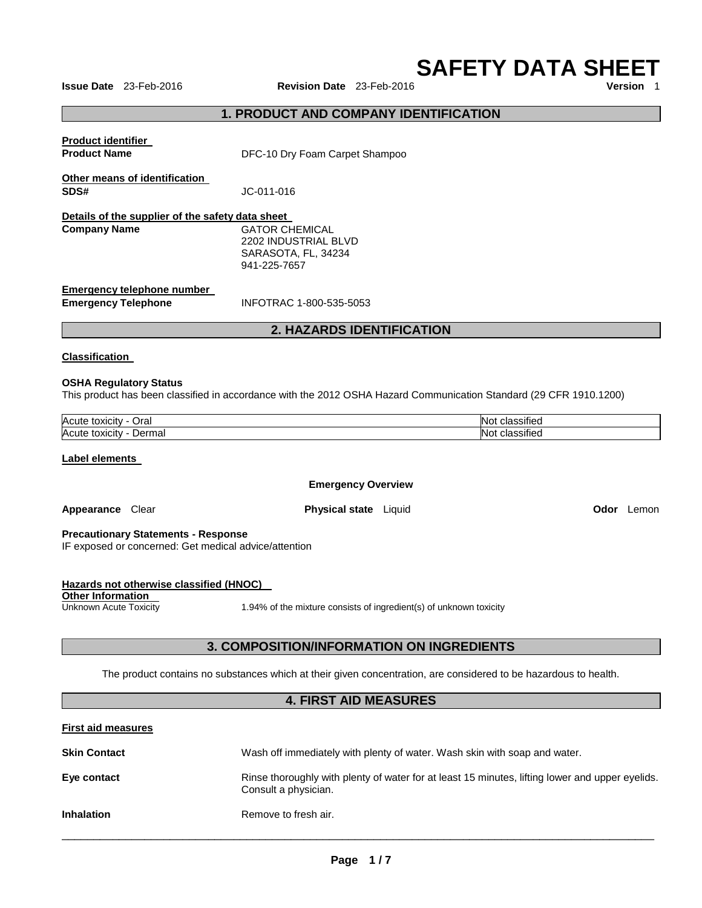**SAFETY DATA SHEET** 

**Issue Date** 23-Feb-2016 **Revision Date** 23-Feb-2016

# **1. PRODUCT AND COMPANY IDENTIFICATION**

| <b>Product identifier</b><br><b>Product Name</b>                        | DFC-10 Dry Foam Carpet Shampoo                                                       |
|-------------------------------------------------------------------------|--------------------------------------------------------------------------------------|
| Other means of identification<br>SDS#                                   | JC-011-016                                                                           |
| Details of the supplier of the safety data sheet<br><b>Company Name</b> | <b>GATOR CHEMICAL</b><br>2202 INDUSTRIAL BLVD<br>SARASOTA, FL, 34234<br>941-225-7657 |
| Emergency telephone number<br><b>Emergency Telephone</b>                | INFOTRAC 1-800-535-5053                                                              |

# **2. HAZARDS IDENTIFICATION**

#### **Classification**

#### **OSHA Regulatory Status**

This product has been classified in accordance with the 2012 OSHA Hazard Communication Standard (29 CFR 1910.1200)

| Acute<br>Oral<br>toxicit<br>''TV     | . .<br>. .<br>$\sim$<br>NO)<br>، ا د<br>11 J J |
|--------------------------------------|------------------------------------------------|
| Acute<br>Jerma<br>toxicity<br>Dermar | . .<br>.<br>~'<br>NO)<br>IGL                   |

#### **Label elements**

#### **Emergency Overview**

**Appearance** Clear **Physical state** Liquid **Odor** Lemon

**Precautionary Statements - Response**

IF exposed or concerned: Get medical advice/attention

| Hazards not otherwise classified (HNOC) |                                                                    |
|-----------------------------------------|--------------------------------------------------------------------|
| Other Information                       |                                                                    |
| Unknown Acute Toxicity                  | 1.94% of the mixture consists of ingredient(s) of unknown toxicity |

# **3. COMPOSITION/INFORMATION ON INGREDIENTS**

The product contains no substances which at their given concentration, are considered to be hazardous to health.

#### **4. FIRST AID MEASURES**

| <b>First aid measures</b> |                                                                                                                         |
|---------------------------|-------------------------------------------------------------------------------------------------------------------------|
| <b>Skin Contact</b>       | Wash off immediately with plenty of water. Wash skin with soap and water.                                               |
| Eye contact               | Rinse thoroughly with plenty of water for at least 15 minutes, lifting lower and upper eyelids.<br>Consult a physician. |
| <b>Inhalation</b>         | Remove to fresh air.                                                                                                    |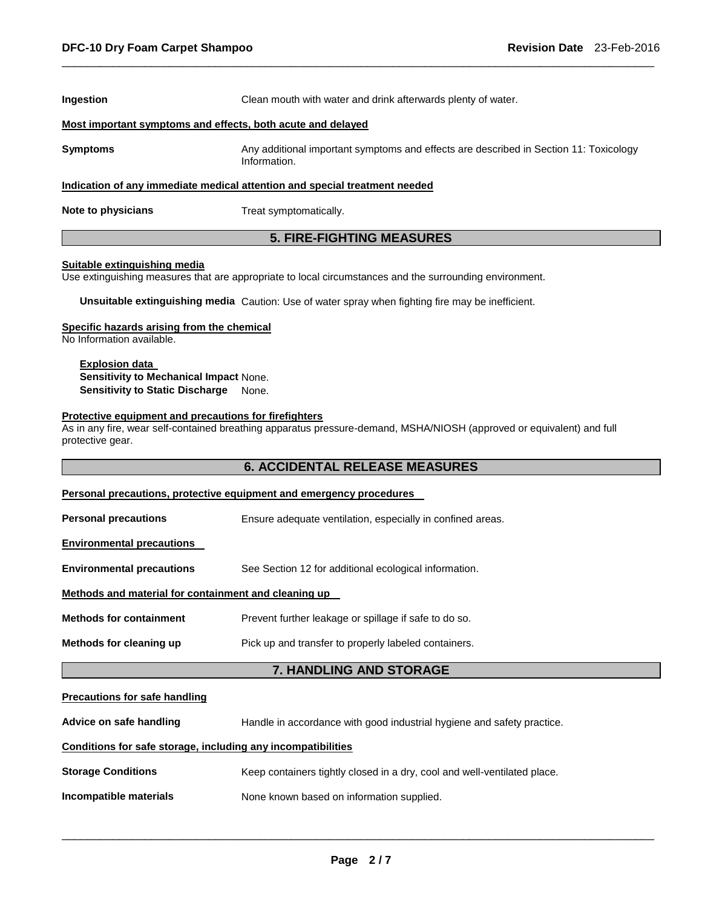| <b>Ingestion</b>                                                           | Clean mouth with water and drink afterwards plenty of water.                                          |  |  |
|----------------------------------------------------------------------------|-------------------------------------------------------------------------------------------------------|--|--|
| Most important symptoms and effects, both acute and delayed                |                                                                                                       |  |  |
| <b>Symptoms</b>                                                            | Any additional important symptoms and effects are described in Section 11: Toxicology<br>Information. |  |  |
| Indication of any immediate medical attention and special treatment needed |                                                                                                       |  |  |
| Note to physicians                                                         | Treat symptomatically.                                                                                |  |  |

\_\_\_\_\_\_\_\_\_\_\_\_\_\_\_\_\_\_\_\_\_\_\_\_\_\_\_\_\_\_\_\_\_\_\_\_\_\_\_\_\_\_\_\_\_\_\_\_\_\_\_\_\_\_\_\_\_\_\_\_\_\_\_\_\_\_\_\_\_\_\_\_\_\_\_\_\_\_\_\_\_\_\_\_\_\_\_\_\_\_\_\_\_

# **5. FIRE-FIGHTING MEASURES**

#### **Suitable extinguishing media**

Use extinguishing measures that are appropriate to local circumstances and the surrounding environment.

**Unsuitable extinguishing media** Caution: Use of water spray when fighting fire may be inefficient.

#### **Specific hazards arising from the chemical**

No Information available.

#### **Explosion data Sensitivity to Mechanical Impact** None. **Sensitivity to Static Discharge** None.

#### **Protective equipment and precautions for firefighters**

As in any fire, wear self-contained breathing apparatus pressure-demand, MSHA/NIOSH (approved or equivalent) and full protective gear.

# **6. ACCIDENTAL RELEASE MEASURES**

| Methods for cleaning up                              | Pick up and transfer to properly labeled containers.       |  |
|------------------------------------------------------|------------------------------------------------------------|--|
| <b>Methods for containment</b>                       | Prevent further leakage or spillage if safe to do so.      |  |
| Methods and material for containment and cleaning up |                                                            |  |
| <b>Environmental precautions</b>                     | See Section 12 for additional ecological information.      |  |
| <b>Environmental precautions</b>                     |                                                            |  |
| <b>Personal precautions</b>                          | Ensure adequate ventilation, especially in confined areas. |  |

# **Advice on safe handling** Handle in accordance with good industrial hygiene and safety practice. **Conditions for safe storage, including any incompatibilities**

| <b>Storage Conditions</b> | Keep containers tightly closed in a dry, cool and well-ventilated place. |
|---------------------------|--------------------------------------------------------------------------|
|---------------------------|--------------------------------------------------------------------------|

**Incompatible materials None known based on information supplied.**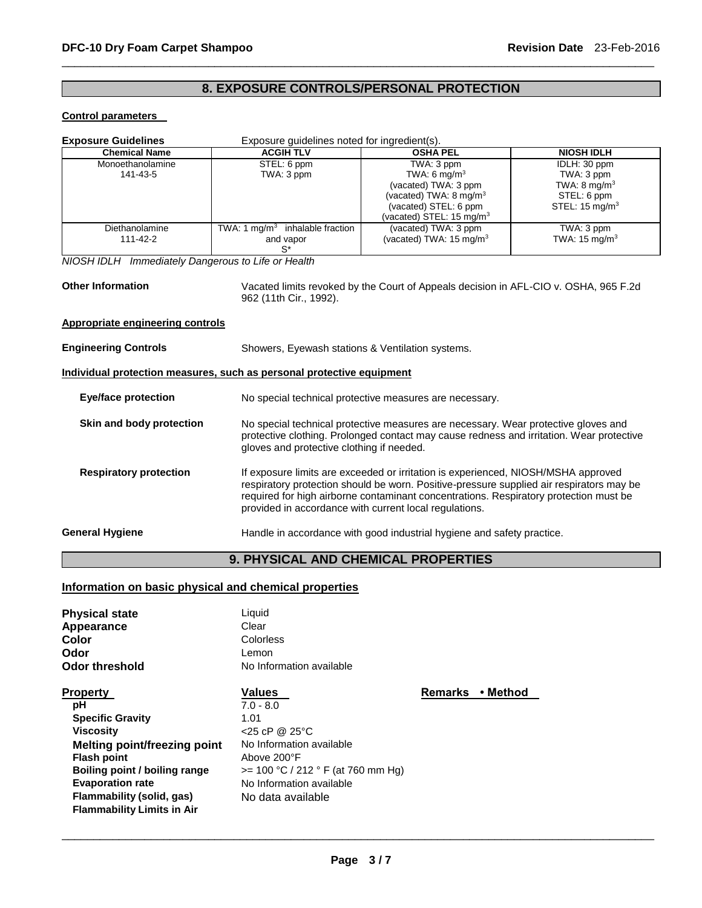# **8. EXPOSURE CONTROLS/PERSONAL PROTECTION**

\_\_\_\_\_\_\_\_\_\_\_\_\_\_\_\_\_\_\_\_\_\_\_\_\_\_\_\_\_\_\_\_\_\_\_\_\_\_\_\_\_\_\_\_\_\_\_\_\_\_\_\_\_\_\_\_\_\_\_\_\_\_\_\_\_\_\_\_\_\_\_\_\_\_\_\_\_\_\_\_\_\_\_\_\_\_\_\_\_\_\_\_\_

#### **Control parameters**

| <b>Exposure Guidelines</b><br>Exposure guidelines noted for ingredient(s).                                                                 |                                                                                                                                                                                                                                                                                                                                  |                                                                                                                                                                       |                                                                                                   |
|--------------------------------------------------------------------------------------------------------------------------------------------|----------------------------------------------------------------------------------------------------------------------------------------------------------------------------------------------------------------------------------------------------------------------------------------------------------------------------------|-----------------------------------------------------------------------------------------------------------------------------------------------------------------------|---------------------------------------------------------------------------------------------------|
| <b>Chemical Name</b>                                                                                                                       | <b>ACGIH TLV</b>                                                                                                                                                                                                                                                                                                                 | <b>OSHA PEL</b>                                                                                                                                                       | <b>NIOSH IDLH</b>                                                                                 |
| Monoethanolamine<br>141-43-5                                                                                                               | STEL: 6 ppm<br>TWA: 3 ppm                                                                                                                                                                                                                                                                                                        | TWA: 3 ppm<br>TWA: 6 mg/m <sup>3</sup><br>(vacated) TWA: 3 ppm<br>(vacated) TWA: 8 mg/m <sup>3</sup><br>(vacated) STEL: 6 ppm<br>(vacated) STEL: 15 mg/m <sup>3</sup> | IDLH: 30 ppm<br>TWA: 3 ppm<br>TWA: $8 \text{ mg/m}^3$<br>STEL: 6 ppm<br>STEL: $15 \text{ mg/m}^3$ |
| Diethanolamine<br>111-42-2                                                                                                                 | TWA: 1 $mq/m3$ inhalable fraction<br>and vapor<br>$S^*$                                                                                                                                                                                                                                                                          | (vacated) TWA: 3 ppm<br>(vacated) TWA: $15 \text{ mg/m}^3$                                                                                                            | TWA: 3 ppm<br>TWA: $15 \text{ mg/m}^3$                                                            |
| NIOSH IDLH Immediately Dangerous to Life or Health                                                                                         |                                                                                                                                                                                                                                                                                                                                  |                                                                                                                                                                       |                                                                                                   |
| <b>Other Information</b><br>Vacated limits revoked by the Court of Appeals decision in AFL-CIO v. OSHA, 965 F.2d<br>962 (11th Cir., 1992). |                                                                                                                                                                                                                                                                                                                                  |                                                                                                                                                                       |                                                                                                   |
| <b>Appropriate engineering controls</b>                                                                                                    |                                                                                                                                                                                                                                                                                                                                  |                                                                                                                                                                       |                                                                                                   |
| <b>Engineering Controls</b>                                                                                                                | Showers, Eyewash stations & Ventilation systems.                                                                                                                                                                                                                                                                                 |                                                                                                                                                                       |                                                                                                   |
| Individual protection measures, such as personal protective equipment                                                                      |                                                                                                                                                                                                                                                                                                                                  |                                                                                                                                                                       |                                                                                                   |
| <b>Eye/face protection</b>                                                                                                                 | No special technical protective measures are necessary.                                                                                                                                                                                                                                                                          |                                                                                                                                                                       |                                                                                                   |
| Skin and body protection                                                                                                                   | No special technical protective measures are necessary. Wear protective gloves and<br>protective clothing. Prolonged contact may cause redness and irritation. Wear protective<br>gloves and protective clothing if needed.                                                                                                      |                                                                                                                                                                       |                                                                                                   |
| <b>Respiratory protection</b>                                                                                                              | If exposure limits are exceeded or irritation is experienced, NIOSH/MSHA approved<br>respiratory protection should be worn. Positive-pressure supplied air respirators may be<br>required for high airborne contaminant concentrations. Respiratory protection must be<br>provided in accordance with current local regulations. |                                                                                                                                                                       |                                                                                                   |
| <b>General Hygiene</b>                                                                                                                     |                                                                                                                                                                                                                                                                                                                                  | Handle in accordance with good industrial hygiene and safety practice.                                                                                                |                                                                                                   |
| <b>9. PHYSICAL AND CHEMICAL PROPERTIES</b>                                                                                                 |                                                                                                                                                                                                                                                                                                                                  |                                                                                                                                                                       |                                                                                                   |

# **Information on basic physical and chemical properties**

| <b>Physical state</b><br>Appearance<br>Color<br>Odor<br><b>Odor threshold</b>                                                                                                                                                                                   | Liquid<br>Clear<br>Colorless<br>Lemon<br>No Information available                                                                                                                            |                |          |
|-----------------------------------------------------------------------------------------------------------------------------------------------------------------------------------------------------------------------------------------------------------------|----------------------------------------------------------------------------------------------------------------------------------------------------------------------------------------------|----------------|----------|
| <b>Property</b><br>рH<br><b>Specific Gravity</b><br><b>Viscosity</b><br><b>Melting point/freezing point</b><br><b>Flash point</b><br>Boiling point / boiling range<br><b>Evaporation rate</b><br>Flammability (solid, gas)<br><b>Flammability Limits in Air</b> | <b>Values</b><br>$7.0 - 8.0$<br>1.01<br>$<$ 25 cP @ 25 °C<br>No Information available<br>Above 200°F<br>$>= 100 °C / 212 °F$ (at 760 mm Hg)<br>No Information available<br>No data available | <b>Remarks</b> | ∙ Method |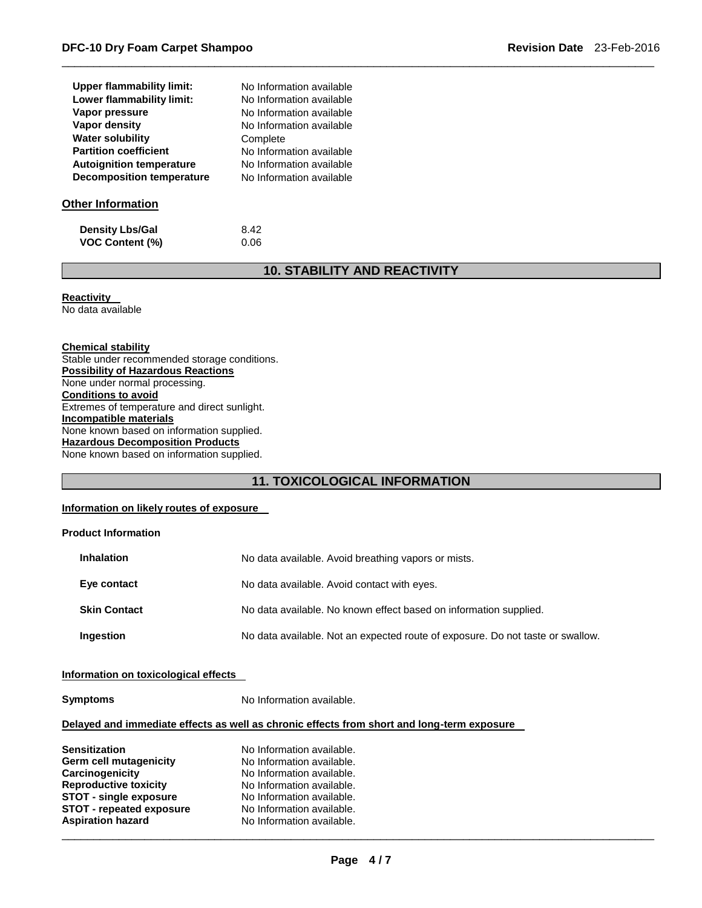| <b>Upper flammability limit:</b> | No Information available |
|----------------------------------|--------------------------|
| Lower flammability limit:        | No Information available |
| Vapor pressure                   | No Information available |
| Vapor density                    | No Information available |
| <b>Water solubility</b>          | Complete                 |
| <b>Partition coefficient</b>     | No Information available |
| <b>Autoignition temperature</b>  | No Information available |
| <b>Decomposition temperature</b> | No Information available |
| <b>Other Information</b>         |                          |
| <b>Density Lbs/Gal</b>           | 8.42                     |

# **10. STABILITY AND REACTIVITY**

\_\_\_\_\_\_\_\_\_\_\_\_\_\_\_\_\_\_\_\_\_\_\_\_\_\_\_\_\_\_\_\_\_\_\_\_\_\_\_\_\_\_\_\_\_\_\_\_\_\_\_\_\_\_\_\_\_\_\_\_\_\_\_\_\_\_\_\_\_\_\_\_\_\_\_\_\_\_\_\_\_\_\_\_\_\_\_\_\_\_\_\_\_

**Reactivity** 

No data available

#### **Chemical stability**

Stable under recommended storage conditions. **Possibility of Hazardous Reactions** None under normal processing. **Conditions to avoid** Extremes of temperature and direct sunlight. **Incompatible materials** None known based on information supplied. **Hazardous Decomposition Products** None known based on information supplied.

**VOC Content (%)** 0.06

### **11. TOXICOLOGICAL INFORMATION**

#### **Information on likely routes of exposure**

#### **Product Information**

| <b>Inhalation</b>   | No data available. Avoid breathing vapors or mists.                            |
|---------------------|--------------------------------------------------------------------------------|
| Eye contact         | No data available. Avoid contact with eyes.                                    |
| <b>Skin Contact</b> | No data available. No known effect based on information supplied.              |
| Ingestion           | No data available. Not an expected route of exposure. Do not taste or swallow. |

#### **Information on toxicological effects**

**Symptoms** No Information available.

#### **Delayed and immediate effects as well as chronic effects from short and long-term exposure**

| <b>Sensitization</b>            | No Information available. |
|---------------------------------|---------------------------|
| Germ cell mutagenicity          | No Information available. |
| Carcinogenicity                 | No Information available. |
| <b>Reproductive toxicity</b>    | No Information available. |
| <b>STOT - single exposure</b>   | No Information available. |
| <b>STOT - repeated exposure</b> | No Information available. |
| <b>Aspiration hazard</b>        | No Information available. |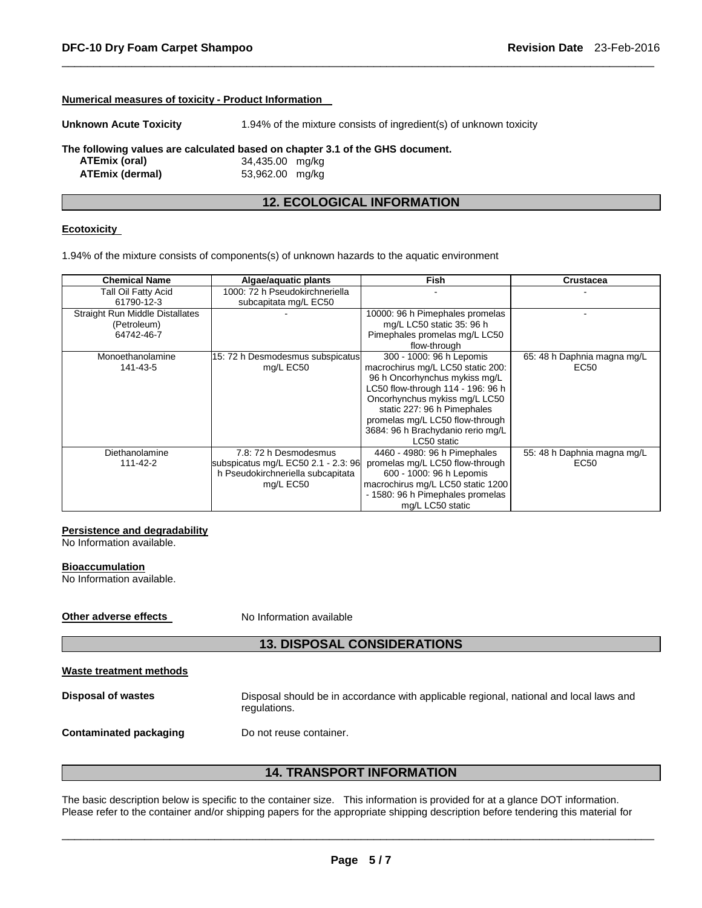| Numerical measures of toxicity - Product Information                          |                                                                    |  |  |  |  |  |
|-------------------------------------------------------------------------------|--------------------------------------------------------------------|--|--|--|--|--|
| <b>Unknown Acute Toxicity</b>                                                 | 1.94% of the mixture consists of ingredient(s) of unknown toxicity |  |  |  |  |  |
| The following values are calculated based on chapter 3.1 of the GHS document. |                                                                    |  |  |  |  |  |
| ATEmix (oral)                                                                 | 34,435.00 mg/kg                                                    |  |  |  |  |  |
| <b>ATEmix (dermal)</b>                                                        | 53,962.00<br>mg/kg                                                 |  |  |  |  |  |
|                                                                               |                                                                    |  |  |  |  |  |

# **12. ECOLOGICAL INFORMATION**

\_\_\_\_\_\_\_\_\_\_\_\_\_\_\_\_\_\_\_\_\_\_\_\_\_\_\_\_\_\_\_\_\_\_\_\_\_\_\_\_\_\_\_\_\_\_\_\_\_\_\_\_\_\_\_\_\_\_\_\_\_\_\_\_\_\_\_\_\_\_\_\_\_\_\_\_\_\_\_\_\_\_\_\_\_\_\_\_\_\_\_\_\_

#### **Ecotoxicity**

1.94% of the mixture consists of components(s) of unknown hazards to the aquatic environment

| <b>Chemical Name</b>                   | Algae/aquatic plants                | <b>Fish</b>                       | <b>Crustacea</b>            |
|----------------------------------------|-------------------------------------|-----------------------------------|-----------------------------|
| Tall Oil Fatty Acid                    | 1000: 72 h Pseudokirchneriella      |                                   |                             |
| 61790-12-3                             | subcapitata mg/L EC50               |                                   |                             |
| <b>Straight Run Middle Distallates</b> |                                     | 10000: 96 h Pimephales promelas   |                             |
| (Petroleum)                            |                                     | mg/L LC50 static 35: 96 h         |                             |
| 64742-46-7                             |                                     | Pimephales promelas mg/L LC50     |                             |
|                                        |                                     | flow-through                      |                             |
| Monoethanolamine                       | 15: 72 h Desmodesmus subspicatus    | 300 - 1000: 96 h Lepomis          | 65: 48 h Daphnia magna mg/L |
| 141-43-5                               | mg/L EC50                           | macrochirus mg/L LC50 static 200: | EC50                        |
|                                        |                                     | 96 h Oncorhynchus mykiss mg/L     |                             |
|                                        |                                     | LC50 flow-through 114 - 196: 96 h |                             |
|                                        |                                     | Oncorhynchus mykiss mg/L LC50     |                             |
|                                        |                                     | static 227: 96 h Pimephales       |                             |
|                                        |                                     | promelas mg/L LC50 flow-through   |                             |
|                                        |                                     | 3684: 96 h Brachydanio rerio mg/L |                             |
|                                        |                                     | LC50 static                       |                             |
| Diethanolamine                         | 7.8: 72 h Desmodesmus               | 4460 - 4980: 96 h Pimephales      | 55: 48 h Daphnia magna mg/L |
| 111-42-2                               | subspicatus mg/L EC50 2.1 - 2.3: 96 | promelas mg/L LC50 flow-through   | EC50                        |
|                                        | h Pseudokirchneriella subcapitata   | 600 - 1000: 96 h Lepomis          |                             |
|                                        | mg/L EC50                           | macrochirus mg/L LC50 static 1200 |                             |
|                                        |                                     | - 1580: 96 h Pimephales promelas  |                             |
|                                        |                                     | mg/L LC50 static                  |                             |

#### **Persistence and degradability**

No Information available.

#### **Bioaccumulation**

No Information available.

**Other adverse effects** No Information available

# **13. DISPOSAL CONSIDERATIONS**

| Waste treatment methods |
|-------------------------|
|-------------------------|

**Disposal of wastes** Disposal should be in accordance with applicable regional, national and local laws and regulations.

**Contaminated packaging by Do not reuse container.** 

# **14. TRANSPORT INFORMATION**

The basic description below is specific to the container size. This information is provided for at a glance DOT information. Please refer to the container and/or shipping papers for the appropriate shipping description before tendering this material for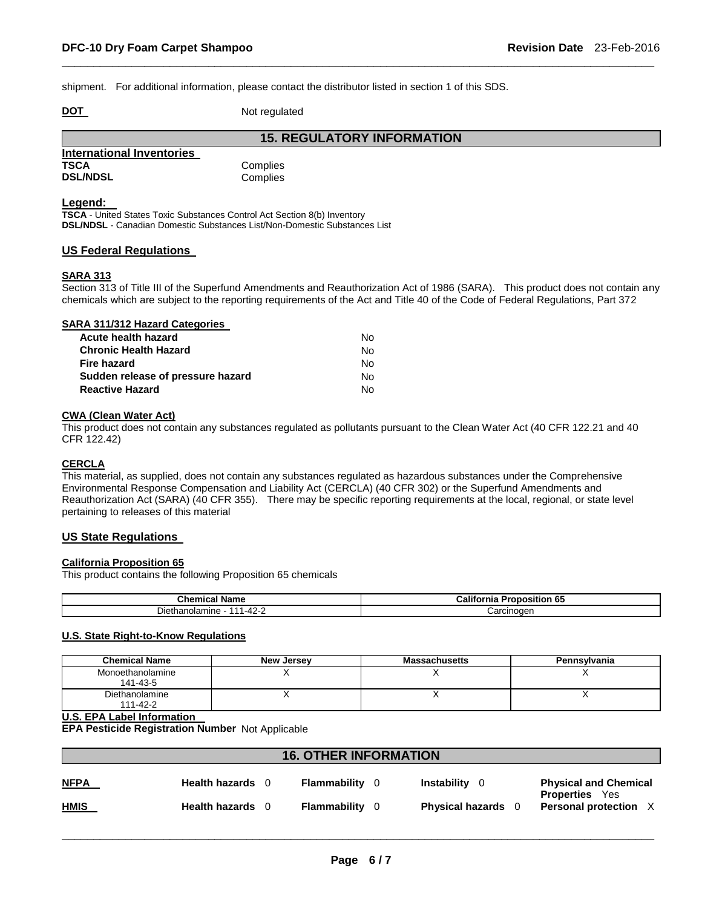shipment. For additional information, please contact the distributor listed in section 1 of this SDS.

**DOT** Not regulated

|                           | <b>15. REGULATORY INFORMATION</b> |
|---------------------------|-----------------------------------|
| International Inventories |                                   |
| <b>TSCA</b>               | Complies                          |
| <b>DSL/NDSL</b>           | Complies                          |

#### **Legend:**

**TSCA** - United States Toxic Substances Control Act Section 8(b) Inventory **DSL/NDSL** - Canadian Domestic Substances List/Non-Domestic Substances List

#### **US Federal Regulations**

#### **SARA 313**

Section 313 of Title III of the Superfund Amendments and Reauthorization Act of 1986 (SARA). This product does not contain any chemicals which are subject to the reporting requirements of the Act and Title 40 of the Code of Federal Regulations, Part 372

\_\_\_\_\_\_\_\_\_\_\_\_\_\_\_\_\_\_\_\_\_\_\_\_\_\_\_\_\_\_\_\_\_\_\_\_\_\_\_\_\_\_\_\_\_\_\_\_\_\_\_\_\_\_\_\_\_\_\_\_\_\_\_\_\_\_\_\_\_\_\_\_\_\_\_\_\_\_\_\_\_\_\_\_\_\_\_\_\_\_\_\_\_

| SARA 311/312 Hazard Categories    |    |
|-----------------------------------|----|
| Acute health hazard               | Nο |
| <b>Chronic Health Hazard</b>      | Nο |
| Fire hazard                       | Nο |
| Sudden release of pressure hazard | Nο |
| <b>Reactive Hazard</b>            | N٥ |

#### **CWA (Clean Water Act)**

This product does not contain any substances regulated as pollutants pursuant to the Clean Water Act (40 CFR 122.21 and 40 CFR 122.42)

#### **CERCLA**

This material, as supplied, does not contain any substances regulated as hazardous substances under the Comprehensive Environmental Response Compensation and Liability Act (CERCLA) (40 CFR 302) or the Superfund Amendments and Reauthorization Act (SARA) (40 CFR 355). There may be specific reporting requirements at the local, regional, or state level pertaining to releases of this material

### **US State Regulations**

#### **California Proposition 65**

This product contains the following Proposition 65 chemicals

| <b>Chemical Name</b>                                | ا California<br><b>Dran</b><br>Proposition 65 |
|-----------------------------------------------------|-----------------------------------------------|
| ietha ∪<br><u>າດ</u><br>olamıne،<br>$1 - 4$<br>74 L | ∴arcinoαer                                    |

#### **U.S. State Right-to-Know Regulations**

| <b>Chemical Name</b>         | New Jersey | <b>Massachusetts</b> | Pennsylvania |
|------------------------------|------------|----------------------|--------------|
| Monoethanolamine<br>141-43-5 |            |                      |              |
| Diethanolamine<br>111-42-2   |            |                      |              |

#### **U.S. EPA Label Information**

**EPA Pesticide Registration Number** Not Applicable

| <b>16. OTHER INFORMATION</b> |                         |  |              |  |                           |                                                     |
|------------------------------|-------------------------|--|--------------|--|---------------------------|-----------------------------------------------------|
| <u>NFPA</u>                  | <b>Health hazards</b> 0 |  | Flammability |  | Instability               | <b>Physical and Chemical</b>                        |
| <u>HMIS</u>                  | Health hazards 0        |  | Flammability |  | <b>Physical hazards</b> 0 | <b>Properties</b> Yes<br><b>Personal protection</b> |